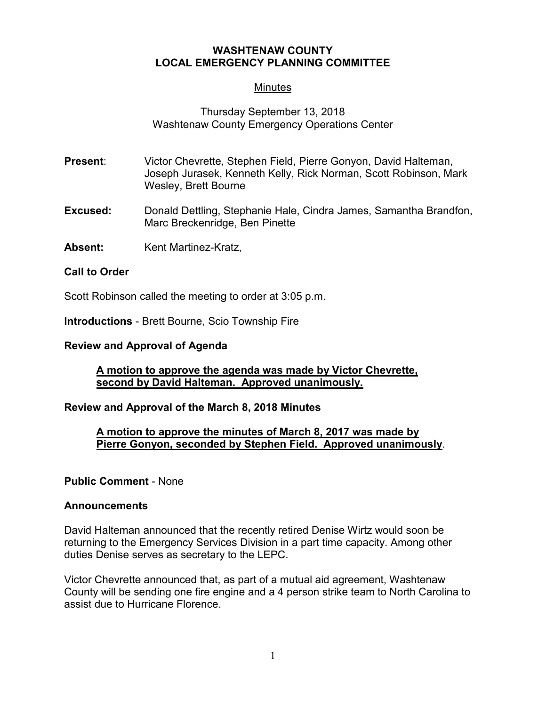## **WASHTENAW COUNTY LOCAL EMERGENCY PLANNING COMMITTEE**

## **Minutes**

## Thursday September 13, 2018 Washtenaw County Emergency Operations Center

- **Present**: Victor Chevrette, Stephen Field, Pierre Gonyon, David Halteman, Joseph Jurasek, Kenneth Kelly, Rick Norman, Scott Robinson, Mark Wesley, Brett Bourne
- **Excused:** Donald Dettling, Stephanie Hale, Cindra James, Samantha Brandfon, Marc Breckenridge, Ben Pinette
- **Absent:** Kent Martinez-Kratz,

### **Call to Order**

Scott Robinson called the meeting to order at 3:05 p.m.

**Introductions** - Brett Bourne, Scio Township Fire

### **Review and Approval of Agenda**

### **A motion to approve the agenda was made by Victor Chevrette, second by David Halteman. Approved unanimously.**

## **Review and Approval of the March 8, 2018 Minutes**

### **A motion to approve the minutes of March 8, 2017 was made by Pierre Gonyon, seconded by Stephen Field. Approved unanimously**.

#### **Public Comment** - None

#### **Announcements**

David Halteman announced that the recently retired Denise Wirtz would soon be returning to the Emergency Services Division in a part time capacity. Among other duties Denise serves as secretary to the LEPC.

Victor Chevrette announced that, as part of a mutual aid agreement, Washtenaw County will be sending one fire engine and a 4 person strike team to North Carolina to assist due to Hurricane Florence.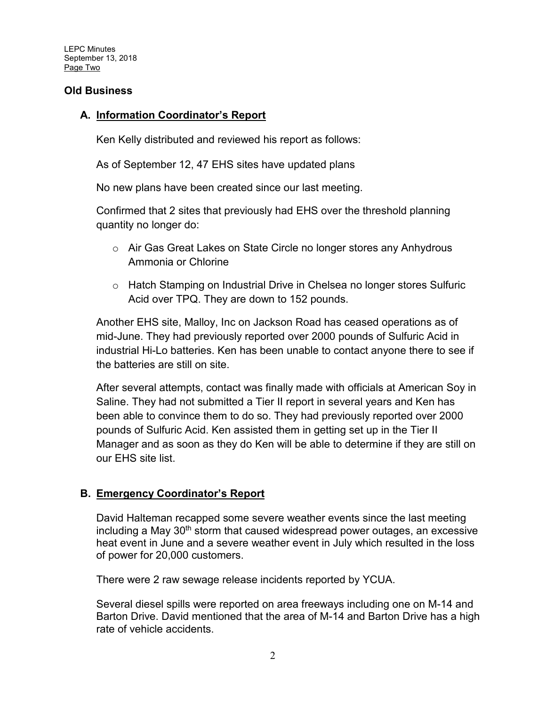LEPC Minutes September 13, 2018 Page Two

## **Old Business**

## **A. Information Coordinator's Report**

Ken Kelly distributed and reviewed his report as follows:

As of September 12, 47 EHS sites have updated plans

No new plans have been created since our last meeting.

Confirmed that 2 sites that previously had EHS over the threshold planning quantity no longer do:

- o Air Gas Great Lakes on State Circle no longer stores any Anhydrous Ammonia or Chlorine
- o Hatch Stamping on Industrial Drive in Chelsea no longer stores Sulfuric Acid over TPQ. They are down to 152 pounds.

Another EHS site, Malloy, Inc on Jackson Road has ceased operations as of mid-June. They had previously reported over 2000 pounds of Sulfuric Acid in industrial Hi-Lo batteries. Ken has been unable to contact anyone there to see if the batteries are still on site.

After several attempts, contact was finally made with officials at American Soy in Saline. They had not submitted a Tier II report in several years and Ken has been able to convince them to do so. They had previously reported over 2000 pounds of Sulfuric Acid. Ken assisted them in getting set up in the Tier II Manager and as soon as they do Ken will be able to determine if they are still on our EHS site list.

## **B. Emergency Coordinator's Report**

David Halteman recapped some severe weather events since the last meeting including a May 30<sup>th</sup> storm that caused widespread power outages, an excessive heat event in June and a severe weather event in July which resulted in the loss of power for 20,000 customers.

There were 2 raw sewage release incidents reported by YCUA.

Several diesel spills were reported on area freeways including one on M-14 and Barton Drive. David mentioned that the area of M-14 and Barton Drive has a high rate of vehicle accidents.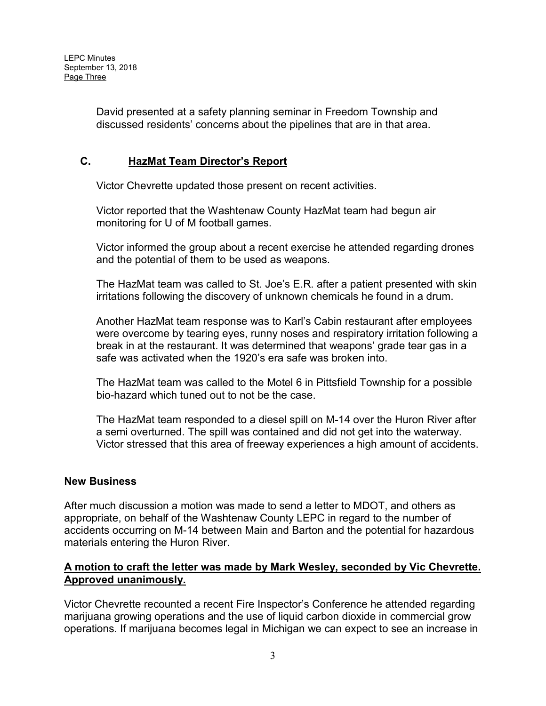David presented at a safety planning seminar in Freedom Township and discussed residents' concerns about the pipelines that are in that area.

# **C. HazMat Team Director's Report**

Victor Chevrette updated those present on recent activities.

Victor reported that the Washtenaw County HazMat team had begun air monitoring for U of M football games.

Victor informed the group about a recent exercise he attended regarding drones and the potential of them to be used as weapons.

The HazMat team was called to St. Joe's E.R. after a patient presented with skin irritations following the discovery of unknown chemicals he found in a drum.

Another HazMat team response was to Karl's Cabin restaurant after employees were overcome by tearing eyes, runny noses and respiratory irritation following a break in at the restaurant. It was determined that weapons' grade tear gas in a safe was activated when the 1920's era safe was broken into.

The HazMat team was called to the Motel 6 in Pittsfield Township for a possible bio-hazard which tuned out to not be the case.

The HazMat team responded to a diesel spill on M-14 over the Huron River after a semi overturned. The spill was contained and did not get into the waterway. Victor stressed that this area of freeway experiences a high amount of accidents.

#### **New Business**

After much discussion a motion was made to send a letter to MDOT, and others as appropriate, on behalf of the Washtenaw County LEPC in regard to the number of accidents occurring on M-14 between Main and Barton and the potential for hazardous materials entering the Huron River.

## **A motion to craft the letter was made by Mark Wesley, seconded by Vic Chevrette. Approved unanimously.**

Victor Chevrette recounted a recent Fire Inspector's Conference he attended regarding marijuana growing operations and the use of liquid carbon dioxide in commercial grow operations. If marijuana becomes legal in Michigan we can expect to see an increase in